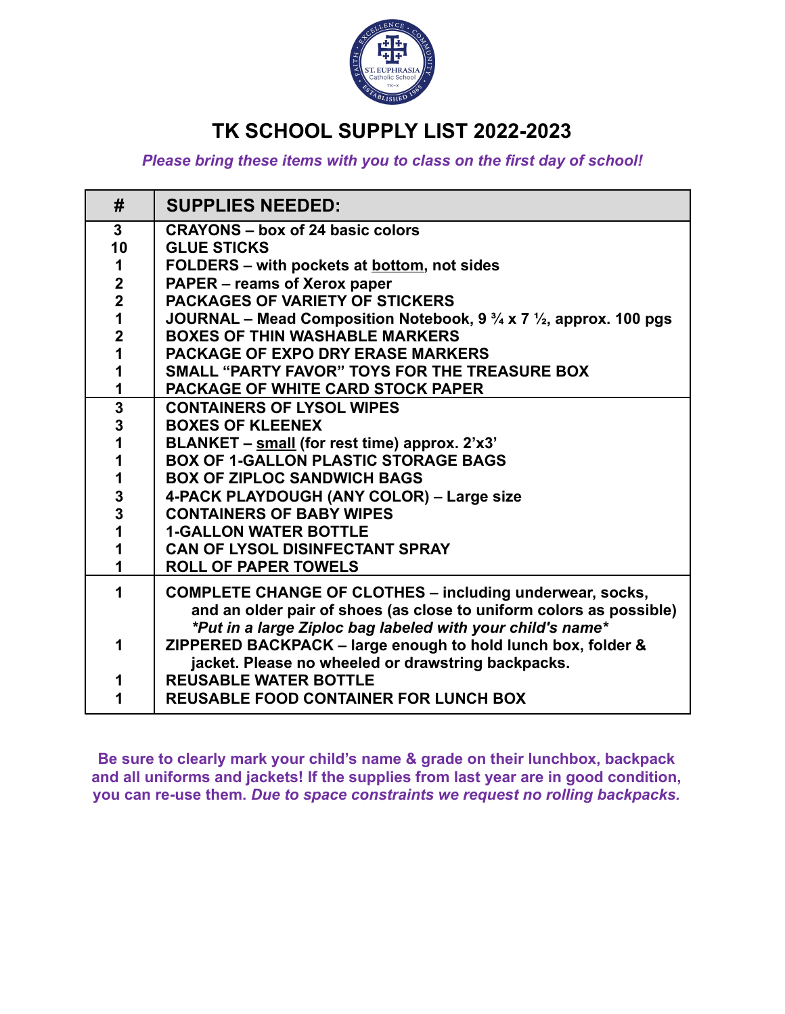

# **TK SCHOOL SUPPLY LIST 2022-2023**

*Please bring these items with you to class on the first day of school!*

| <b>SUPPLIES NEEDED:</b>                                                                  |
|------------------------------------------------------------------------------------------|
| <b>CRAYONS - box of 24 basic colors</b>                                                  |
| <b>GLUE STICKS</b>                                                                       |
| FOLDERS - with pockets at <b>bottom</b> , not sides                                      |
| <b>PAPER - reams of Xerox paper</b>                                                      |
| <b>PACKAGES OF VARIETY OF STICKERS</b>                                                   |
| JOURNAL – Mead Composition Notebook, 9 $\frac{3}{4}$ x 7 $\frac{1}{2}$ , approx. 100 pgs |
| <b>BOXES OF THIN WASHABLE MARKERS</b>                                                    |
| <b>PACKAGE OF EXPO DRY ERASE MARKERS</b>                                                 |
| SMALL "PARTY FAVOR" TOYS FOR THE TREASURE BOX                                            |
| <b>PACKAGE OF WHITE CARD STOCK PAPER</b>                                                 |
| <b>CONTAINERS OF LYSOL WIPES</b>                                                         |
| <b>BOXES OF KLEENEX</b>                                                                  |
| BLANKET - small (for rest time) approx. 2'x3'                                            |
| <b>BOX OF 1-GALLON PLASTIC STORAGE BAGS</b>                                              |
| <b>BOX OF ZIPLOC SANDWICH BAGS</b>                                                       |
| 4-PACK PLAYDOUGH (ANY COLOR) - Large size                                                |
| <b>CONTAINERS OF BABY WIPES</b>                                                          |
| <b>1-GALLON WATER BOTTLE</b>                                                             |
| <b>CAN OF LYSOL DISINFECTANT SPRAY</b>                                                   |
| <b>ROLL OF PAPER TOWELS</b>                                                              |
| <b>COMPLETE CHANGE OF CLOTHES - including underwear, socks,</b>                          |
| and an older pair of shoes (as close to uniform colors as possible)                      |
| *Put in a large Ziploc bag labeled with your child's name*                               |
| ZIPPERED BACKPACK - large enough to hold lunch box, folder &                             |
| jacket. Please no wheeled or drawstring backpacks.                                       |
| <b>REUSABLE WATER BOTTLE</b>                                                             |
| <b>REUSABLE FOOD CONTAINER FOR LUNCH BOX</b>                                             |
|                                                                                          |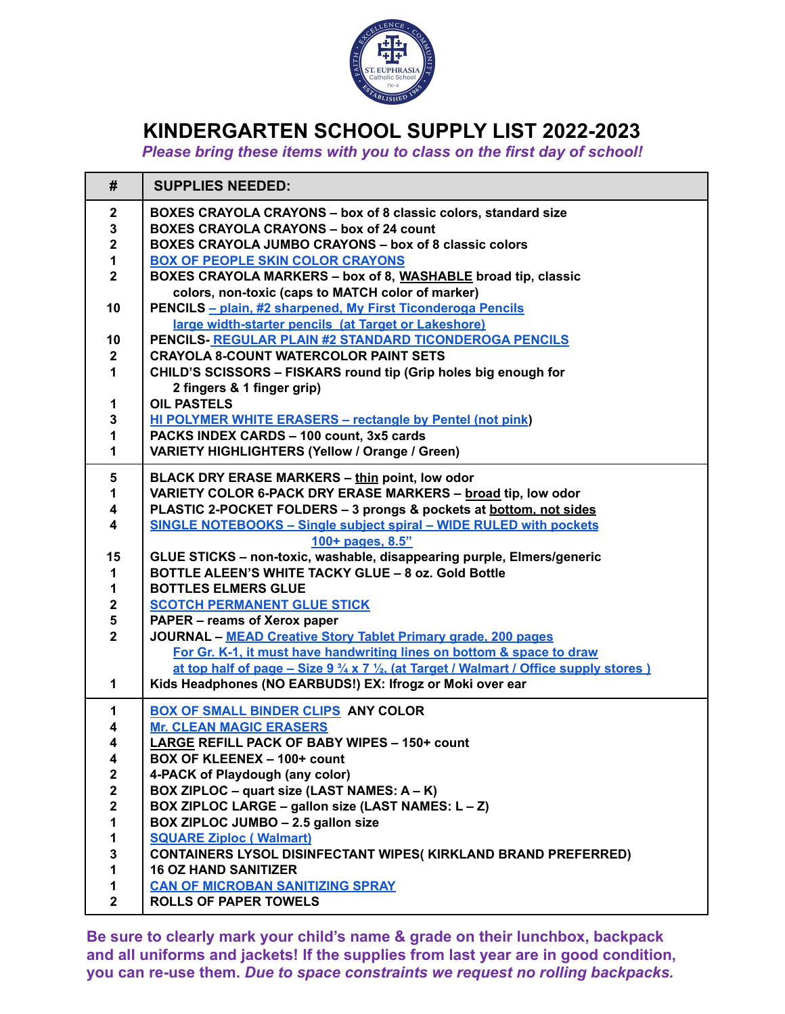

### **KINDERGARTEN SCHOOL SUPPLY LIST 2022-2023**

*Please bring these items with you to class on the first day of school!*

| #                       | <b>SUPPLIES NEEDED:</b>                                                                                            |
|-------------------------|--------------------------------------------------------------------------------------------------------------------|
| $\mathbf 2$             | BOXES CRAYOLA CRAYONS - box of 8 classic colors, standard size                                                     |
| 3                       | <b>BOXES CRAYOLA CRAYONS - box of 24 count</b>                                                                     |
| $\mathbf 2$             | <b>BOXES CRAYOLA JUMBO CRAYONS - box of 8 classic colors</b>                                                       |
| 1                       | <b>BOX OF PEOPLE SKIN COLOR CRAYONS</b>                                                                            |
| $\overline{\mathbf{2}}$ | BOXES CRAYOLA MARKERS - box of 8, WASHABLE broad tip, classic<br>colors, non-toxic (caps to MATCH color of marker) |
| 10                      | PENCILS - plain, #2 sharpened, My First Ticonderoga Pencils                                                        |
|                         | large width-starter pencils (at Target or Lakeshore)                                                               |
| 10                      | PENCILS- REGULAR PLAIN #2 STANDARD TICONDEROGA PENCILS                                                             |
| $\mathbf{2}$            | <b>CRAYOLA 8-COUNT WATERCOLOR PAINT SETS</b>                                                                       |
| $\mathbf{1}$            | CHILD'S SCISSORS - FISKARS round tip (Grip holes big enough for                                                    |
|                         | 2 fingers & 1 finger grip)                                                                                         |
| 1                       | <b>OIL PASTELS</b>                                                                                                 |
| 3                       | <b>HI POLYMER WHITE ERASERS - rectangle by Pentel (not pink)</b>                                                   |
| 1                       | PACKS INDEX CARDS - 100 count, 3x5 cards                                                                           |
| 1                       | VARIETY HIGHLIGHTERS (Yellow / Orange / Green)                                                                     |
| 5                       | <b>BLACK DRY ERASE MARKERS - thin point, low odor</b>                                                              |
| $\mathbf{1}$            | VARIETY COLOR 6-PACK DRY ERASE MARKERS - broad tip, low odor                                                       |
| 4                       | PLASTIC 2-POCKET FOLDERS - 3 prongs & pockets at bottom, not sides                                                 |
| $\overline{\mathbf{4}}$ | <b>SINGLE NOTEBOOKS - Single subject spiral - WIDE RULED with pockets</b>                                          |
|                         | 100+ pages, 8.5"                                                                                                   |
| 15                      | GLUE STICKS - non-toxic, washable, disappearing purple, Elmers/generic                                             |
| 1                       | BOTTLE ALEEN'S WHITE TACKY GLUE - 8 oz. Gold Bottle                                                                |
| 1                       | <b>BOTTLES ELMERS GLUE</b>                                                                                         |
| $\mathbf 2$<br>5        | <b>SCOTCH PERMANENT GLUE STICK</b><br>PAPER - reams of Xerox paper                                                 |
| $\overline{\mathbf{2}}$ | <b>JOURNAL - MEAD Creative Story Tablet Primary grade, 200 pages</b>                                               |
|                         | For Gr. K-1, it must have handwriting lines on bottom & space to draw                                              |
|                         | at top half of page – Size 9 $\frac{3}{4}$ x 7 $\frac{1}{2}$ , (at Target / Walmart / Office supply stores )       |
| 1                       | Kids Headphones (NO EARBUDS!) EX: Ifrogz or Moki over ear                                                          |
|                         |                                                                                                                    |
| 1                       | BOX OF SMALL BINDER CLIPS ANY COLOR                                                                                |
| 4<br>4                  | <b>Mr. CLEAN MAGIC ERASERS</b><br>LARGE REFILL PACK OF BABY WIPES - 150+ count                                     |
| 4                       | BOX OF KLEENEX - 100+ count                                                                                        |
| $\mathbf 2$             | 4-PACK of Playdough (any color)                                                                                    |
| $\mathbf 2$             | BOX ZIPLOC - quart size (LAST NAMES: A - K)                                                                        |
| $\overline{\mathbf{2}}$ | BOX ZIPLOC LARGE - gallon size (LAST NAMES: L - Z)                                                                 |
| 1                       | BOX ZIPLOC JUMBO - 2.5 gallon size                                                                                 |
| 1                       | <b>SQUARE Ziploc (Walmart)</b>                                                                                     |
| $\mathbf 3$             | <b>CONTAINERS LYSOL DISINFECTANT WIPES(KIRKLAND BRAND PREFERRED)</b>                                               |
| 1                       | <b>16 OZ HAND SANITIZER</b>                                                                                        |
| 1                       | <b>CAN OF MICROBAN SANITIZING SPRAY</b>                                                                            |
| $\overline{2}$          | <b>ROLLS OF PAPER TOWELS</b>                                                                                       |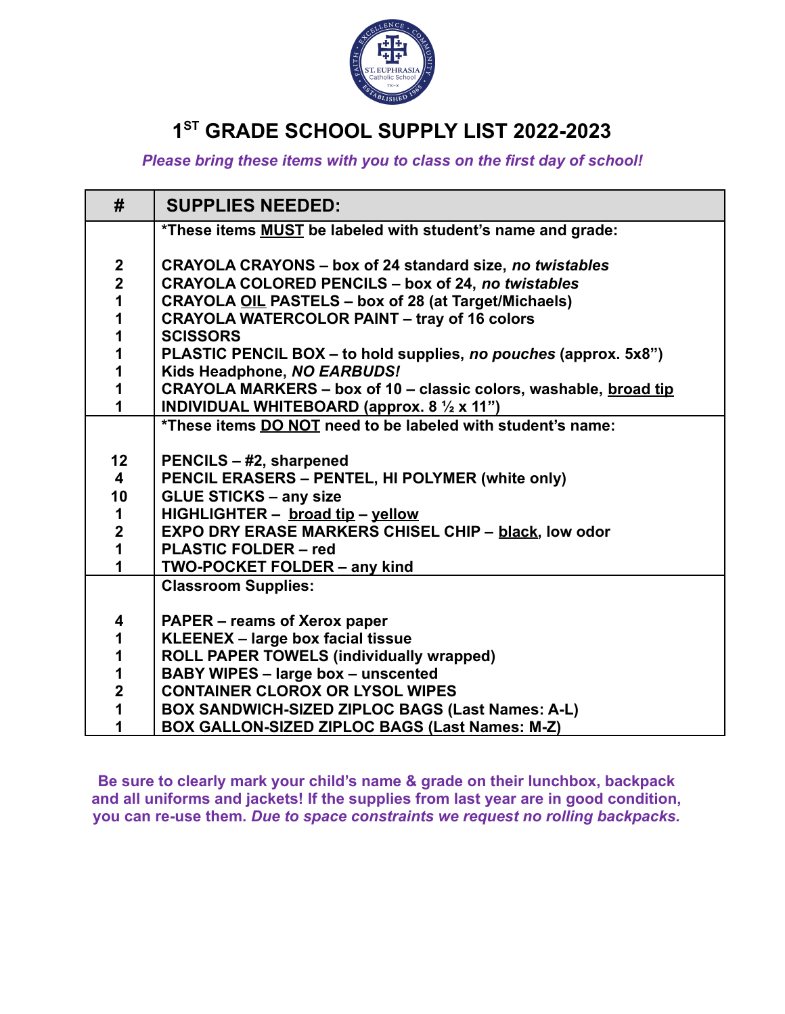

# **1 ST GRADE SCHOOL SUPPLY LIST 2022-2023**

*Please bring these items with you to class on the first day of school!*

| #                       | <b>SUPPLIES NEEDED:</b>                                                 |
|-------------------------|-------------------------------------------------------------------------|
|                         | *These items <b>MUST</b> be labeled with student's name and grade:      |
| $\boldsymbol{2}$        | <b>CRAYOLA CRAYONS - box of 24 standard size, no twistables</b>         |
| $\overline{\mathbf{2}}$ | <b>CRAYOLA COLORED PENCILS - box of 24, no twistables</b>               |
| $\overline{\mathbf{1}}$ | <b>CRAYOLA OIL PASTELS - box of 28 (at Target/Michaels)</b>             |
| 1                       | <b>CRAYOLA WATERCOLOR PAINT - tray of 16 colors</b>                     |
| 1                       | <b>SCISSORS</b>                                                         |
| 1                       | PLASTIC PENCIL BOX – to hold supplies, no pouches (approx. 5x8")        |
| 1                       | Kids Headphone, NO EARBUDS!                                             |
| 1                       | CRAYOLA MARKERS - box of 10 - classic colors, washable, broad tip       |
| $\overline{\mathbf{1}}$ | <b>INDIVIDUAL WHITEBOARD (approx. 8 <math>\frac{1}{2}</math> x 11")</b> |
|                         | *These items DO NOT need to be labeled with student's name:             |
|                         |                                                                         |
| 12                      | PENCILS - #2, sharpened                                                 |
| 4                       | PENCIL ERASERS - PENTEL, HI POLYMER (white only)                        |
| 10                      | <b>GLUE STICKS - any size</b>                                           |
| $\mathbf 1$             | HIGHLIGHTER - broad tip - yellow                                        |
| $\overline{\mathbf{2}}$ | <b>EXPO DRY ERASE MARKERS CHISEL CHIP - black, low odor</b>             |
| $\mathbf{1}$            | <b>PLASTIC FOLDER - red</b>                                             |
| $\overline{\mathbf{1}}$ | <b>TWO-POCKET FOLDER - any kind</b>                                     |
|                         | <b>Classroom Supplies:</b>                                              |
|                         |                                                                         |
| 4                       | <b>PAPER – reams of Xerox paper</b>                                     |
| 1                       | KLEENEX - large box facial tissue                                       |
| 1                       | <b>ROLL PAPER TOWELS (individually wrapped)</b>                         |
| 1                       | <b>BABY WIPES - large box - unscented</b>                               |
| $\overline{2}$          | <b>CONTAINER CLOROX OR LYSOL WIPES</b>                                  |
| 1                       | BOX SANDWICH-SIZED ZIPLOC BAGS (Last Names: A-L)                        |
| 1                       | BOX GALLON-SIZED ZIPLOC BAGS (Last Names: M-Z)                          |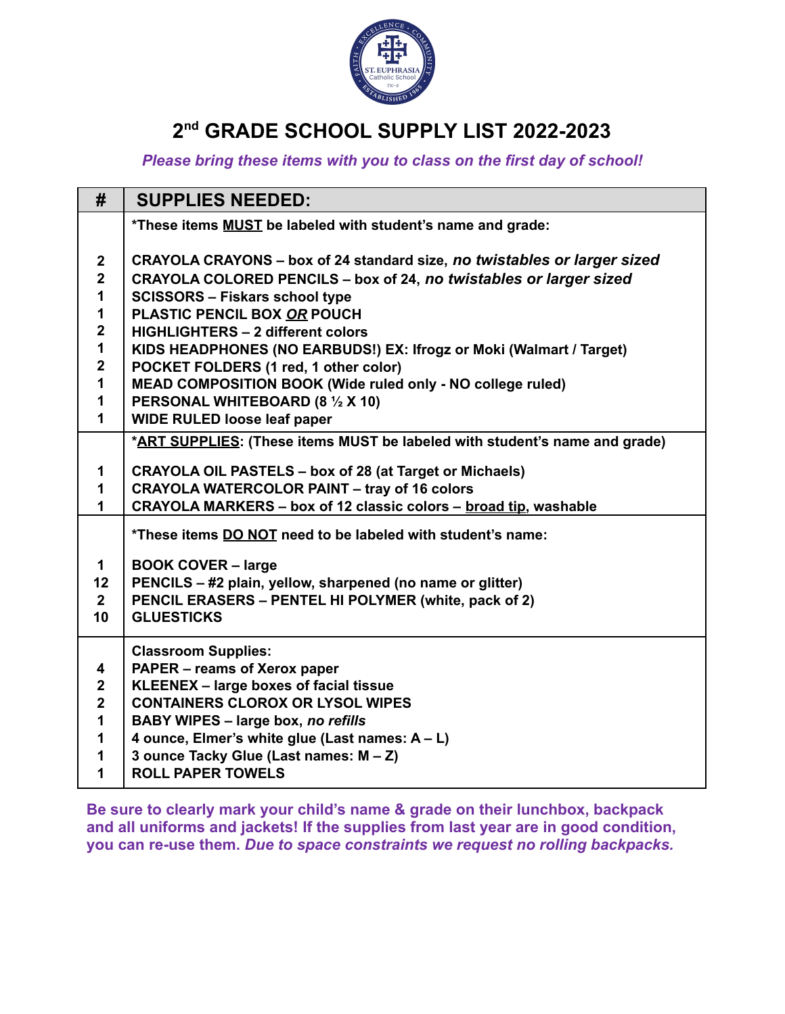

# **2 nd GRADE SCHOOL SUPPLY LIST 2022-2023**

*Please bring these items with you to class on the first day of school!*

| #                | <b>SUPPLIES NEEDED:</b>                                                    |
|------------------|----------------------------------------------------------------------------|
|                  | *These items MUST be labeled with student's name and grade:                |
| $\boldsymbol{2}$ | CRAYOLA CRAYONS – box of 24 standard size, no twistables or larger sized   |
| $\overline{2}$   | CRAYOLA COLORED PENCILS - box of 24, no twistables or larger sized         |
| 1                | <b>SCISSORS - Fiskars school type</b>                                      |
| 1                | PLASTIC PENCIL BOX OR POUCH                                                |
| $\mathbf{2}$     | <b>HIGHLIGHTERS - 2 different colors</b>                                   |
| 1                | KIDS HEADPHONES (NO EARBUDS!) EX: Ifrogz or Moki (Walmart / Target)        |
| $\mathbf{2}$     | POCKET FOLDERS (1 red, 1 other color)                                      |
| 1                | MEAD COMPOSITION BOOK (Wide ruled only - NO college ruled)                 |
| 1                | PERSONAL WHITEBOARD (8 1/2 X 10)                                           |
| 1                | <b>WIDE RULED loose leaf paper</b>                                         |
|                  | *ART SUPPLIES: (These items MUST be labeled with student's name and grade) |
| 1                | <b>CRAYOLA OIL PASTELS - box of 28 (at Target or Michaels)</b>             |
| 1                | <b>CRAYOLA WATERCOLOR PAINT - tray of 16 colors</b>                        |
| 1                | CRAYOLA MARKERS - box of 12 classic colors - broad tip, washable           |
|                  | *These items DO NOT need to be labeled with student's name:                |
| 1                | <b>BOOK COVER - large</b>                                                  |
| 12               | PENCILS - #2 plain, yellow, sharpened (no name or glitter)                 |
| $2^{\circ}$      | PENCIL ERASERS - PENTEL HI POLYMER (white, pack of 2)                      |
| 10               | <b>GLUESTICKS</b>                                                          |
|                  | <b>Classroom Supplies:</b>                                                 |
| 4                | PAPER - reams of Xerox paper                                               |
| $\mathbf{2}$     | KLEENEX - large boxes of facial tissue                                     |
| $\overline{2}$   | <b>CONTAINERS CLOROX OR LYSOL WIPES</b>                                    |
| 1                | <b>BABY WIPES - large box, no refills</b>                                  |
| 1                | 4 ounce, Elmer's white glue (Last names: A - L)                            |
| 1                | 3 ounce Tacky Glue (Last names: M - Z)                                     |
| 1                | <b>ROLL PAPER TOWELS</b>                                                   |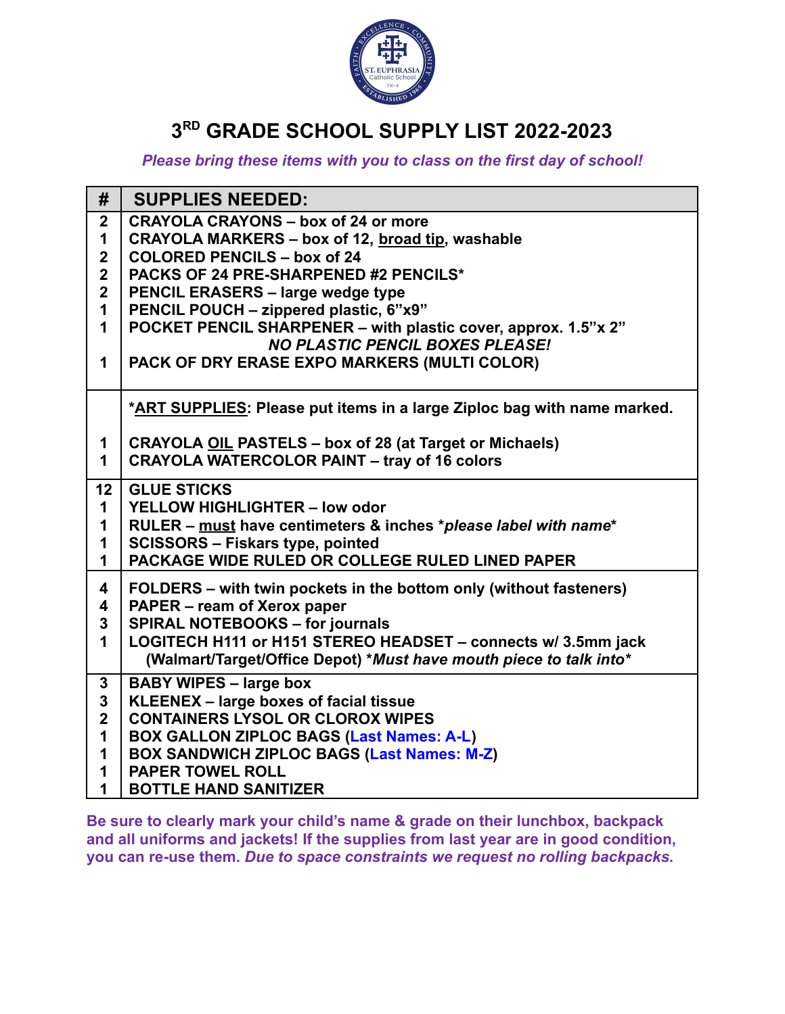

## **3 RD GRADE SCHOOL SUPPLY LIST 2022-2023**

#### *Please bring these items with you to class on the first day of school!*

| #                                      | <b>SUPPLIES NEEDED:</b>                                                                              |
|----------------------------------------|------------------------------------------------------------------------------------------------------|
| $\mathbf 2$                            | <b>CRAYOLA CRAYONS - box of 24 or more</b>                                                           |
| $\mathbf 1$                            | CRAYOLA MARKERS - box of 12, broad tip, washable                                                     |
| $\overline{2}$                         | <b>COLORED PENCILS - box of 24</b>                                                                   |
| $\mathbf 2$<br>$\overline{\mathbf{2}}$ | PACKS OF 24 PRE-SHARPENED #2 PENCILS*                                                                |
| $\mathbf{1}$                           | <b>PENCIL ERASERS - large wedge type</b><br>PENCIL POUCH - zippered plastic, 6"x9"                   |
| $\mathbf 1$                            | POCKET PENCIL SHARPENER - with plastic cover, approx. 1.5"x 2"                                       |
|                                        | <b>NO PLASTIC PENCIL BOXES PLEASE!</b>                                                               |
| $\mathbf 1$                            | PACK OF DRY ERASE EXPO MARKERS (MULTI COLOR)                                                         |
|                                        |                                                                                                      |
|                                        | *ART SUPPLIES: Please put items in a large Ziploc bag with name marked.                              |
|                                        |                                                                                                      |
| 1                                      | <b>CRAYOLA OIL PASTELS - box of 28 (at Target or Michaels)</b>                                       |
| $\mathbf{1}$                           | <b>CRAYOLA WATERCOLOR PAINT - tray of 16 colors</b>                                                  |
| 12                                     | <b>GLUE STICKS</b>                                                                                   |
| $\mathbf{1}$                           | YELLOW HIGHLIGHTER - low odor                                                                        |
| $\mathbf 1$                            | RULER - must have centimeters & inches *please label with name*                                      |
| 1                                      | <b>SCISSORS - Fiskars type, pointed</b>                                                              |
| $\mathbf{1}$                           | PACKAGE WIDE RULED OR COLLEGE RULED LINED PAPER                                                      |
| 4                                      | FOLDERS – with twin pockets in the bottom only (without fasteners)                                   |
| 4                                      | PAPER - ream of Xerox paper                                                                          |
| $\mathbf{3}$                           | <b>SPIRAL NOTEBOOKS - for journals</b>                                                               |
| $\mathbf 1$                            | LOGITECH H111 or H151 STEREO HEADSET - connects w/ 3.5mm jack                                        |
|                                        | (Walmart/Target/Office Depot) *Must have mouth piece to talk into*                                   |
| 3                                      | <b>BABY WIPES - large box</b>                                                                        |
| $\overline{\mathbf{3}}$                | KLEENEX - large boxes of facial tissue                                                               |
| $\overline{2}$                         | <b>CONTAINERS LYSOL OR CLOROX WIPES</b>                                                              |
| $\mathbf 1$<br>$\mathbf 1$             | <b>BOX GALLON ZIPLOC BAGS (Last Names: A-L)</b><br><b>BOX SANDWICH ZIPLOC BAGS (Last Names: M-Z)</b> |
| $\mathbf 1$                            | <b>PAPER TOWEL ROLL</b>                                                                              |
| $\mathbf 1$                            | <b>BOTTLE HAND SANITIZER</b>                                                                         |
|                                        |                                                                                                      |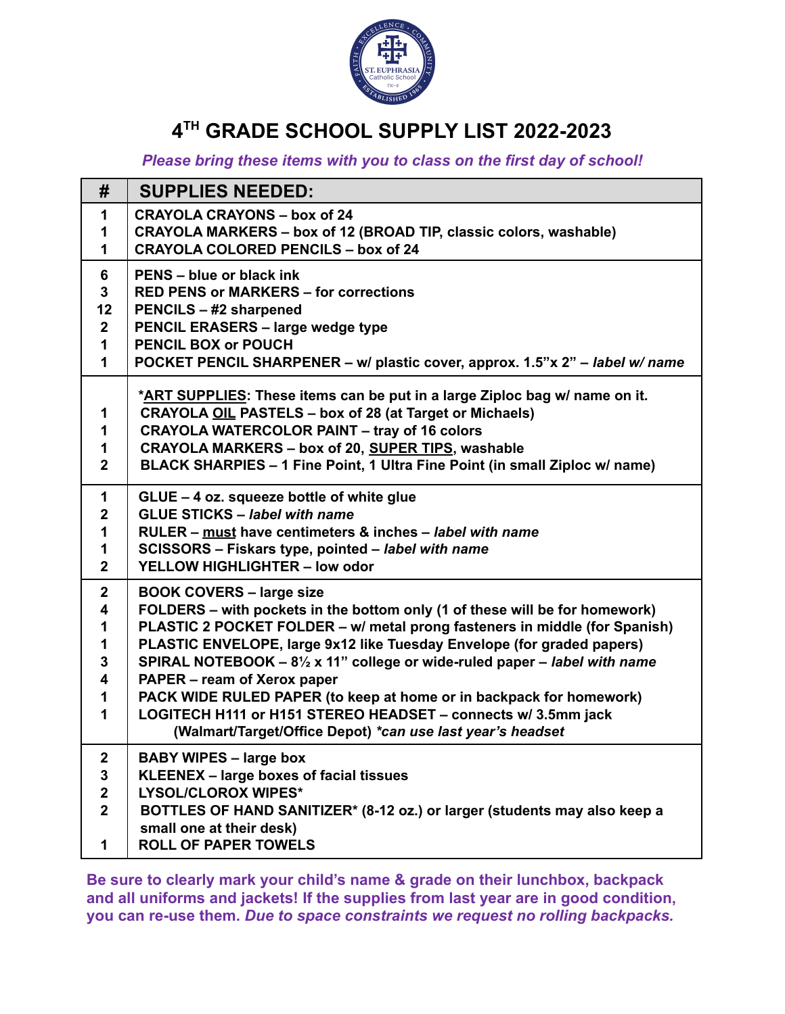

# **4 TH GRADE SCHOOL SUPPLY LIST 2022-2023**

*Please bring these items with you to class on the first day of school!*

| #                | <b>SUPPLIES NEEDED:</b>                                                           |
|------------------|-----------------------------------------------------------------------------------|
| 1                | <b>CRAYOLA CRAYONS - box of 24</b>                                                |
| 1                | CRAYOLA MARKERS - box of 12 (BROAD TIP, classic colors, washable)                 |
| 1                | <b>CRAYOLA COLORED PENCILS - box of 24</b>                                        |
| 6                | PENS - blue or black ink                                                          |
| 3                | <b>RED PENS or MARKERS - for corrections</b>                                      |
| 12               | <b>PENCILS - #2 sharpened</b>                                                     |
| $2^{\circ}$      | <b>PENCIL ERASERS - large wedge type</b>                                          |
| 1                | <b>PENCIL BOX or POUCH</b>                                                        |
| 1                | POCKET PENCIL SHARPENER - w/ plastic cover, approx. 1.5"x 2" - label w/ name      |
|                  | *ART SUPPLIES: These items can be put in a large Ziploc bag w/ name on it.        |
| 1                | <b>CRAYOLA OIL PASTELS - box of 28 (at Target or Michaels)</b>                    |
| 1                | <b>CRAYOLA WATERCOLOR PAINT - tray of 16 colors</b>                               |
| 1                | CRAYOLA MARKERS - box of 20, SUPER TIPS, washable                                 |
| $\overline{2}$   | BLACK SHARPIES - 1 Fine Point, 1 Ultra Fine Point (in small Ziploc w/ name)       |
| 1                |                                                                                   |
| $\mathbf 2$      | GLUE - 4 oz. squeeze bottle of white glue<br><b>GLUE STICKS - label with name</b> |
| 1                | RULER - must have centimeters & inches - label with name                          |
| 1                | SCISSORS - Fiskars type, pointed - label with name                                |
| $\mathbf{2}$     | YELLOW HIGHLIGHTER - low odor                                                     |
| $\boldsymbol{2}$ | <b>BOOK COVERS - large size</b>                                                   |
| 4                | FOLDERS - with pockets in the bottom only (1 of these will be for homework)       |
| 1                | PLASTIC 2 POCKET FOLDER - w/ metal prong fasteners in middle (for Spanish)        |
| 1                | PLASTIC ENVELOPE, large 9x12 like Tuesday Envelope (for graded papers)            |
| 3                | SPIRAL NOTEBOOK - 81/2 x 11" college or wide-ruled paper - label with name        |
| 4                | PAPER – ream of Xerox paper                                                       |
| 1                | PACK WIDE RULED PAPER (to keep at home or in backpack for homework)               |
| 1                | LOGITECH H111 or H151 STEREO HEADSET - connects w/ 3.5mm jack                     |
|                  | (Walmart/Target/Office Depot) *can use last year's headset                        |
| 2                | <b>BABY WIPES – large box</b>                                                     |
| $\mathbf 3$      | KLEENEX - large boxes of facial tissues                                           |
| $\mathbf{2}$     | <b>LYSOL/CLOROX WIPES*</b>                                                        |
| $\overline{2}$   | BOTTLES OF HAND SANITIZER* (8-12 oz.) or larger (students may also keep a         |
|                  | small one at their desk)                                                          |
| 1                | <b>ROLL OF PAPER TOWELS</b>                                                       |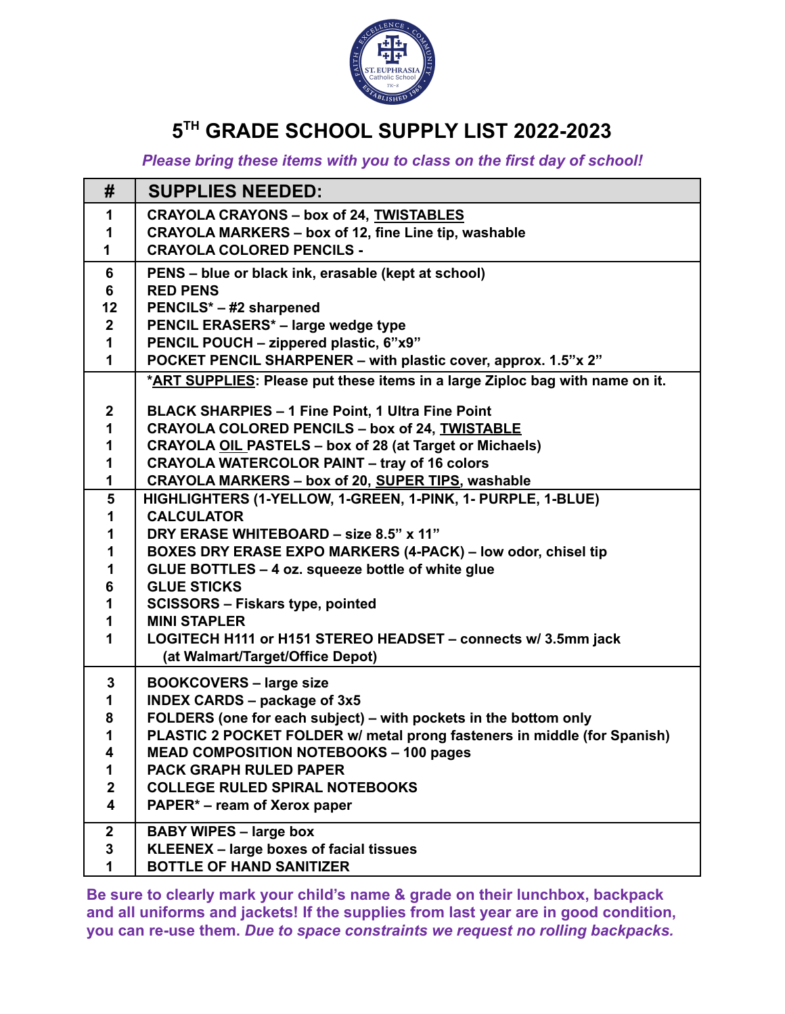

# **5 TH GRADE SCHOOL SUPPLY LIST 2022-2023**

#### *Please bring these items with you to class on the first day of school!*

| #                                           | <b>SUPPLIES NEEDED:</b>                                                                           |
|---------------------------------------------|---------------------------------------------------------------------------------------------------|
| 1                                           | <b>CRAYOLA CRAYONS - box of 24, TWISTABLES</b>                                                    |
| 1                                           | <b>CRAYOLA MARKERS - box of 12, fine Line tip, washable</b>                                       |
| 1                                           | <b>CRAYOLA COLORED PENCILS -</b>                                                                  |
| 6                                           | PENS – blue or black ink, erasable (kept at school)                                               |
| 6                                           | <b>RED PENS</b>                                                                                   |
| 12                                          | PENCILS* - #2 sharpened                                                                           |
| $\boldsymbol{2}$                            | PENCIL ERASERS* - large wedge type                                                                |
| 1                                           | PENCIL POUCH - zippered plastic, 6"x9"                                                            |
| $\mathbf{1}$                                | POCKET PENCIL SHARPENER - with plastic cover, approx. 1.5"x 2"                                    |
|                                             | *ART SUPPLIES: Please put these items in a large Ziploc bag with name on it.                      |
| $\boldsymbol{2}$                            | <b>BLACK SHARPIES - 1 Fine Point, 1 Ultra Fine Point</b>                                          |
| 1                                           | <b>CRAYOLA COLORED PENCILS - box of 24, TWISTABLE</b>                                             |
| 1                                           | <b>CRAYOLA OIL PASTELS - box of 28 (at Target or Michaels)</b>                                    |
| 1                                           | <b>CRAYOLA WATERCOLOR PAINT - tray of 16 colors</b>                                               |
| 1                                           | CRAYOLA MARKERS - box of 20, SUPER TIPS, washable                                                 |
| 5                                           | HIGHLIGHTERS (1-YELLOW, 1-GREEN, 1-PINK, 1- PURPLE, 1-BLUE)                                       |
| 1                                           | <b>CALCULATOR</b>                                                                                 |
| 1                                           | DRY ERASE WHITEBOARD - size 8.5" x 11"                                                            |
| 1                                           | BOXES DRY ERASE EXPO MARKERS (4-PACK) - low odor, chisel tip                                      |
| 1                                           | GLUE BOTTLES - 4 oz. squeeze bottle of white glue                                                 |
| 6                                           | <b>GLUE STICKS</b>                                                                                |
| 1                                           | <b>SCISSORS - Fiskars type, pointed</b>                                                           |
| 1                                           | <b>MINI STAPLER</b>                                                                               |
| 1                                           | LOGITECH H111 or H151 STEREO HEADSET - connects w/ 3.5mm jack<br>(at Walmart/Target/Office Depot) |
|                                             |                                                                                                   |
| $\mathbf 3$                                 | <b>BOOKCOVERS - large size</b>                                                                    |
| 1                                           | <b>INDEX CARDS - package of 3x5</b>                                                               |
| 8                                           | FOLDERS (one for each subject) - with pockets in the bottom only                                  |
| 1                                           | PLASTIC 2 POCKET FOLDER w/ metal prong fasteners in middle (for Spanish)                          |
| 4                                           | MEAD COMPOSITION NOTEBOOKS - 100 pages                                                            |
| 1                                           | <b>PACK GRAPH RULED PAPER</b>                                                                     |
| $\boldsymbol{2}$<br>$\overline{\mathbf{4}}$ | <b>COLLEGE RULED SPIRAL NOTEBOOKS</b>                                                             |
|                                             | PAPER* – ream of Xerox paper                                                                      |
| $\mathbf 2$                                 | <b>BABY WIPES - large box</b>                                                                     |
| 3                                           | KLEENEX - large boxes of facial tissues                                                           |
| 1                                           | <b>BOTTLE OF HAND SANITIZER</b>                                                                   |